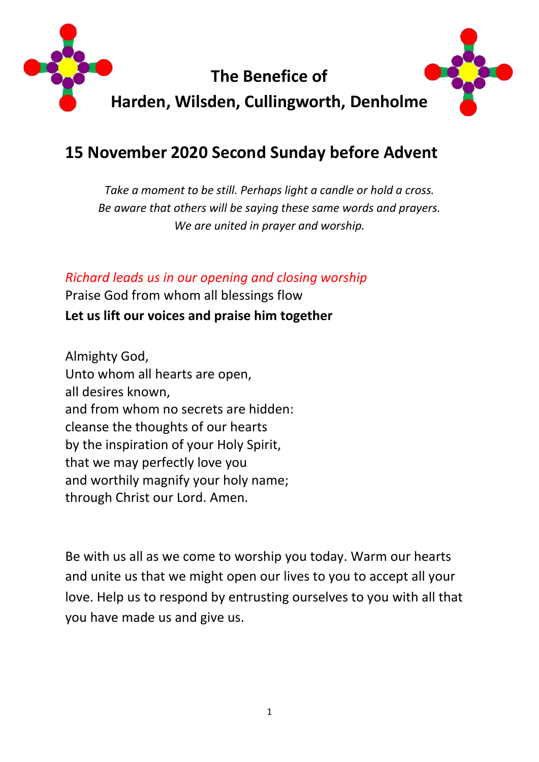

# **15 November 2020 Second Sunday before Advent**

*Take a moment to be still. Perhaps light a candle or hold a cross. Be aware that others will be saying these same words and prayers. We are united in prayer and worship.*

*Richard leads us in our opening and closing worship*

Praise God from whom all blessings flow **Let us lift our voices and praise him together**

Almighty God, Unto whom all hearts are open, all desires known, and from whom no secrets are hidden: cleanse the thoughts of our hearts by the inspiration of your Holy Spirit, that we may perfectly love you and worthily magnify your holy name; through Christ our Lord. Amen.

Be with us all as we come to worship you today. Warm our hearts and unite us that we might open our lives to you to accept all your love. Help us to respond by entrusting ourselves to you with all that you have made us and give us.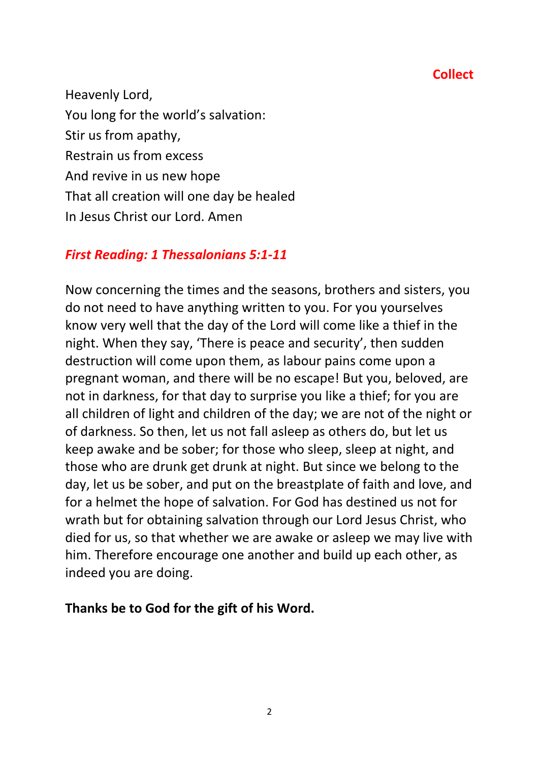### **Collect**

Heavenly Lord, You long for the world's salvation: Stir us from apathy, Restrain us from excess And revive in us new hope That all creation will one day be healed In Jesus Christ our Lord. Amen

### *First Reading: 1 Thessalonians 5:1-11*

Now concerning the times and the seasons, brothers and sisters, you do not need to have anything written to you. For you yourselves know very well that the day of the Lord will come like a thief in the night. When they say, 'There is peace and security', then sudden destruction will come upon them, as labour pains come upon a pregnant woman, and there will be no escape! But you, beloved, are not in darkness, for that day to surprise you like a thief; for you are all children of light and children of the day; we are not of the night or of darkness. So then, let us not fall asleep as others do, but let us keep awake and be sober; for those who sleep, sleep at night, and those who are drunk get drunk at night. But since we belong to the day, let us be sober, and put on the breastplate of faith and love, and for a helmet the hope of salvation. For God has destined us not for wrath but for obtaining salvation through our Lord Jesus Christ, who died for us, so that whether we are awake or asleep we may live with him. Therefore encourage one another and build up each other, as indeed you are doing.

### **Thanks be to God for the gift of his Word.**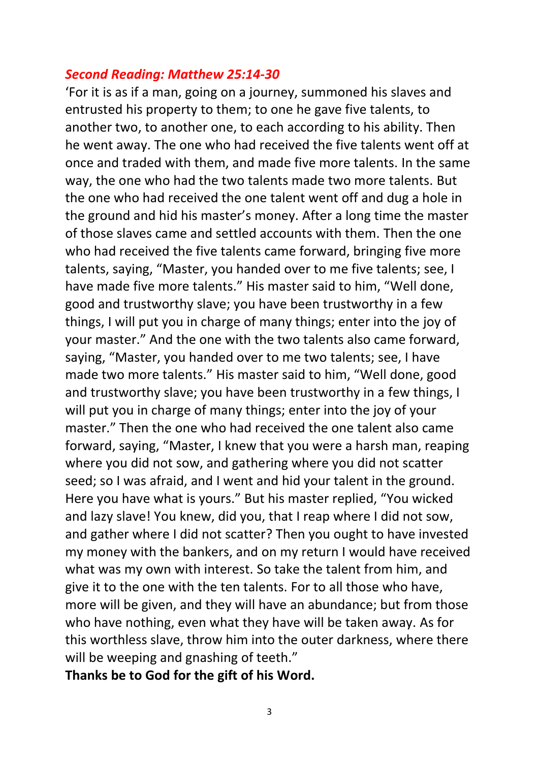#### *Second Reading: Matthew 25:14-30*

'For it is as if a man, going on a journey, summoned his slaves and entrusted his property to them; to one he gave five talents, to another two, to another one, to each according to his ability. Then he went away. The one who had received the five talents went off at once and traded with them, and made five more talents. In the same way, the one who had the two talents made two more talents. But the one who had received the one talent went off and dug a hole in the ground and hid his master's money. After a long time the master of those slaves came and settled accounts with them. Then the one who had received the five talents came forward, bringing five more talents, saying, "Master, you handed over to me five talents; see, I have made five more talents." His master said to him, "Well done, good and trustworthy slave; you have been trustworthy in a few things, I will put you in charge of many things; enter into the joy of your master." And the one with the two talents also came forward, saying, "Master, you handed over to me two talents; see, I have made two more talents." His master said to him, "Well done, good and trustworthy slave; you have been trustworthy in a few things, I will put you in charge of many things; enter into the joy of your master." Then the one who had received the one talent also came forward, saying, "Master, I knew that you were a harsh man, reaping where you did not sow, and gathering where you did not scatter seed; so I was afraid, and I went and hid your talent in the ground. Here you have what is yours." But his master replied, "You wicked and lazy slave! You knew, did you, that I reap where I did not sow, and gather where I did not scatter? Then you ought to have invested my money with the bankers, and on my return I would have received what was my own with interest. So take the talent from him, and give it to the one with the ten talents. For to all those who have, more will be given, and they will have an abundance; but from those who have nothing, even what they have will be taken away. As for this worthless slave, throw him into the outer darkness, where there will be weeping and gnashing of teeth."

**Thanks be to God for the gift of his Word.**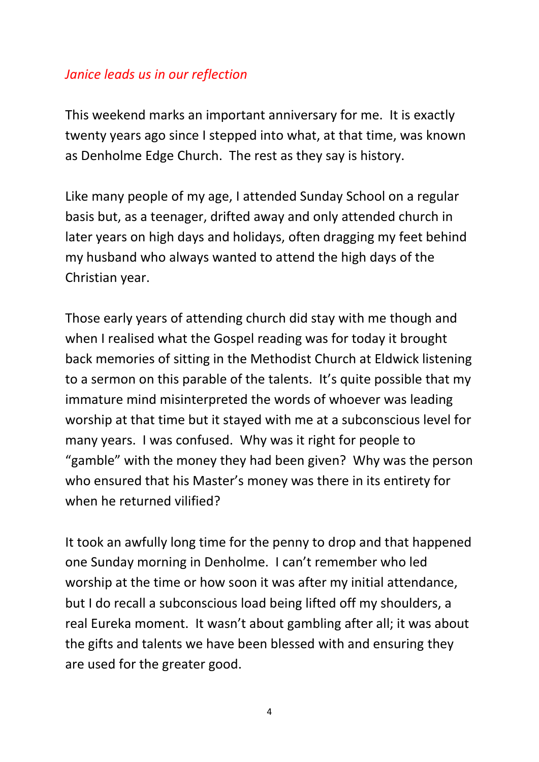### *Janice leads us in our reflection*

This weekend marks an important anniversary for me. It is exactly twenty years ago since I stepped into what, at that time, was known as Denholme Edge Church. The rest as they say is history.

Like many people of my age, I attended Sunday School on a regular basis but, as a teenager, drifted away and only attended church in later years on high days and holidays, often dragging my feet behind my husband who always wanted to attend the high days of the Christian year.

Those early years of attending church did stay with me though and when I realised what the Gospel reading was for today it brought back memories of sitting in the Methodist Church at Eldwick listening to a sermon on this parable of the talents. It's quite possible that my immature mind misinterpreted the words of whoever was leading worship at that time but it stayed with me at a subconscious level for many years. I was confused. Why was it right for people to "gamble" with the money they had been given? Why was the person who ensured that his Master's money was there in its entirety for when he returned vilified?

It took an awfully long time for the penny to drop and that happened one Sunday morning in Denholme. I can't remember who led worship at the time or how soon it was after my initial attendance, but I do recall a subconscious load being lifted off my shoulders, a real Eureka moment. It wasn't about gambling after all; it was about the gifts and talents we have been blessed with and ensuring they are used for the greater good.

4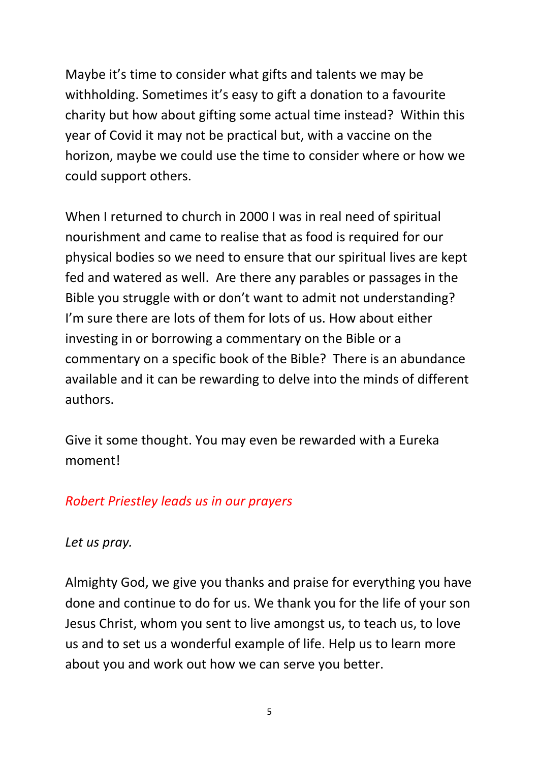Maybe it's time to consider what gifts and talents we may be withholding. Sometimes it's easy to gift a donation to a favourite charity but how about gifting some actual time instead? Within this year of Covid it may not be practical but, with a vaccine on the horizon, maybe we could use the time to consider where or how we could support others.

When I returned to church in 2000 I was in real need of spiritual nourishment and came to realise that as food is required for our physical bodies so we need to ensure that our spiritual lives are kept fed and watered as well. Are there any parables or passages in the Bible you struggle with or don't want to admit not understanding? I'm sure there are lots of them for lots of us. How about either investing in or borrowing a commentary on the Bible or a commentary on a specific book of the Bible? There is an abundance available and it can be rewarding to delve into the minds of different authors.

Give it some thought. You may even be rewarded with a Eureka moment!

### *Robert Priestley leads us in our prayers*

*Let us pray.*

Almighty God, we give you thanks and praise for everything you have done and continue to do for us. We thank you for the life of your son Jesus Christ, whom you sent to live amongst us, to teach us, to love us and to set us a wonderful example of life. Help us to learn more about you and work out how we can serve you better.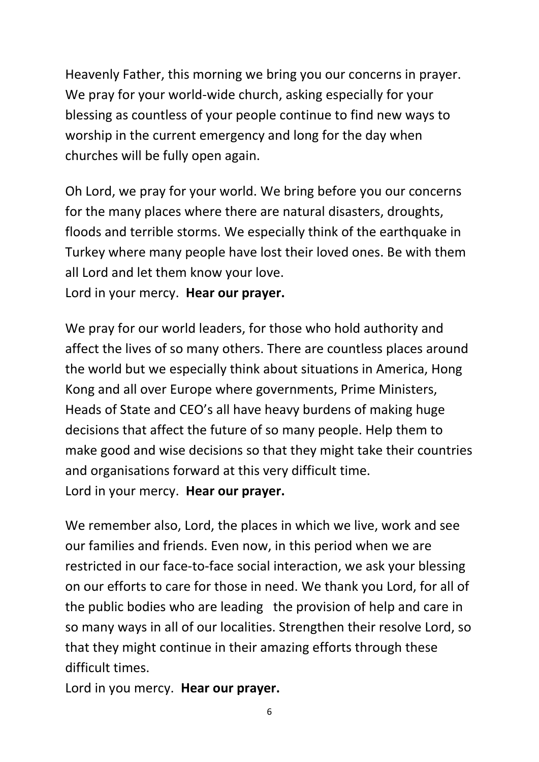Heavenly Father, this morning we bring you our concerns in prayer. We pray for your world-wide church, asking especially for your blessing as countless of your people continue to find new ways to worship in the current emergency and long for the day when churches will be fully open again.

Oh Lord, we pray for your world. We bring before you our concerns for the many places where there are natural disasters, droughts, floods and terrible storms. We especially think of the earthquake in Turkey where many people have lost their loved ones. Be with them all Lord and let them know your love. Lord in your mercy. **Hear our prayer.**

We pray for our world leaders, for those who hold authority and affect the lives of so many others. There are countless places around the world but we especially think about situations in America, Hong Kong and all over Europe where governments, Prime Ministers, Heads of State and CEO's all have heavy burdens of making huge decisions that affect the future of so many people. Help them to make good and wise decisions so that they might take their countries and organisations forward at this very difficult time. Lord in your mercy. **Hear our prayer.**

We remember also, Lord, the places in which we live, work and see our families and friends. Even now, in this period when we are restricted in our face-to-face social interaction, we ask your blessing on our efforts to care for those in need. We thank you Lord, for all of the public bodies who are leading the provision of help and care in so many ways in all of our localities. Strengthen their resolve Lord, so that they might continue in their amazing efforts through these difficult times.

Lord in you mercy. **Hear our prayer.**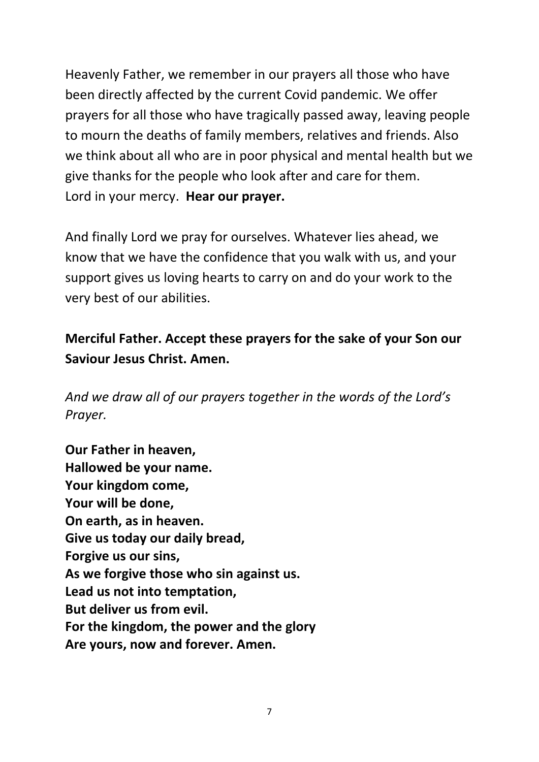Heavenly Father, we remember in our prayers all those who have been directly affected by the current Covid pandemic. We offer prayers for all those who have tragically passed away, leaving people to mourn the deaths of family members, relatives and friends. Also we think about all who are in poor physical and mental health but we give thanks for the people who look after and care for them. Lord in your mercy. **Hear our prayer.**

And finally Lord we pray for ourselves. Whatever lies ahead, we know that we have the confidence that you walk with us, and your support gives us loving hearts to carry on and do your work to the very best of our abilities.

## **Merciful Father. Accept these prayers for the sake of your Son our Saviour Jesus Christ. Amen.**

*And we draw all of our prayers together in the words of the Lord's Prayer.*

**Our Father in heaven, Hallowed be your name. Your kingdom come, Your will be done, On earth, as in heaven. Give us today our daily bread, Forgive us our sins, As we forgive those who sin against us. Lead us not into temptation, But deliver us from evil. For the kingdom, the power and the glory Are yours, now and forever. Amen.**